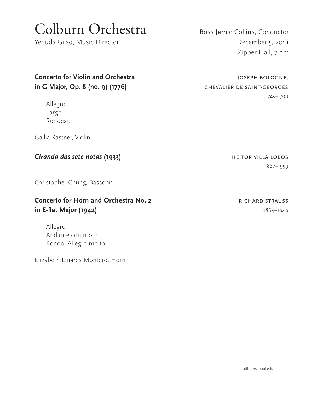# Colburn Orchestra

Yehuda Gilad, Music Director

**Concerto for Violin and Orchestra intervalse and Structure and Structure, General And Structure, Concern and Structure and Structure and Structure and Structure and Structure and Structure and Structure and Structure an in G Major, Op. 8 (no. 9) (1776)** CHEVALIER DE SAINT-GEORGES

Allegro Largo Rondeau

Gallia Kastner, Violin

### **Ciranda das sete notas (1933) heitor villa-lobos heitor villa-lobos**

Christopher Chung, Bassoon

### **Concerto for Horn and Orchestra No. 2 RICHARD STRAUSS in E-flat Major (1942)** 1864–1949

Allegro Andante con moto Rondo: Allegro molto

Elizabeth Linares Montero, Horn

Ross Jamie Collins, Conductor December 5, 2021 Zipper Hall, 7 pm

1745–1799

1887–1959

colburnschool.edu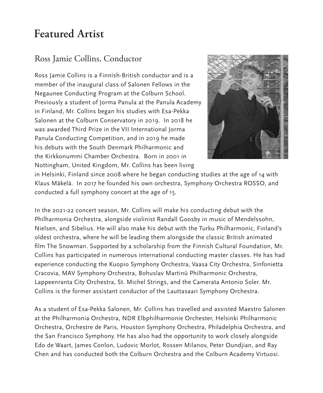## **Featured Artist**

### Ross Jamie Collins, Conductor

Ross Jamie Collins is a Finnish-British conductor and is a member of the inaugural class of Salonen Fellows in the Negaunee Conducting Program at the Colburn School. Previously a student of Jorma Panula at the Panula Academy in Finland, Mr. Collins began his studies with Esa-Pekka Salonen at the Colburn Conservatory in 2019. In 2018 he was awarded Third Prize in the VII International Jorma Panula Conducting Competition, and in 2019 he made his debuts with the South Denmark Philharmonic and the Kirkkonummi Chamber Orchestra. Born in 2001 in Nottingham, United Kingdom, Mr. Collins has been living



in Helsinki, Finland since 2008 where he began conducting studies at the age of 14 with Klaus Mäkelä. In 2017 he founded his own orchestra, Symphony Orchestra ROSSO, and conducted a full symphony concert at the age of 15.

In the 2021-22 concert season, Mr. Collins will make his conducting debut with the Philharmonia Orchestra, alongside violinist Randall Goosby in music of Mendelssohn, Nielsen, and Sibelius. He will also make his debut with the Turku Philharmonic, Finland's oldest orchestra, where he will be leading them alongside the classic British animated film The Snowman. Supported by a scholarship from the Finnish Cultural Foundation, Mr. Collins has participated in numerous international conducting master classes. He has had experience conducting the Kuopio Symphony Orchestra, Vaasa City Orchestra, Sinfonietta Cracovia, MAV Symphony Orchestra, Bohuslav Martinů Philharmonic Orchestra, Lappeenranta City Orchestra, St. Michel Strings, and the Camerata Antonio Soler. Mr. Collins is the former assistant conductor of the Lauttasaari Symphony Orchestra.

As a student of Esa-Pekka Salonen, Mr. Collins has travelled and assisted Maestro Salonen at the Philharmonia Orchestra, NDR Elbphilharmonie Orchester, Helsinki Philharmonic Orchestra, Orchestre de Paris, Houston Symphony Orchestra, Philadelphia Orchestra, and the San Francisco Symphony. He has also had the opportunity to work closely alongside Edo de Waart, James Conlon, Ludovic Morlot, Rossen Milanov, Peter Oundjian, and Ray Chen and has conducted both the Colburn Orchestra and the Colburn Academy Virtuosi.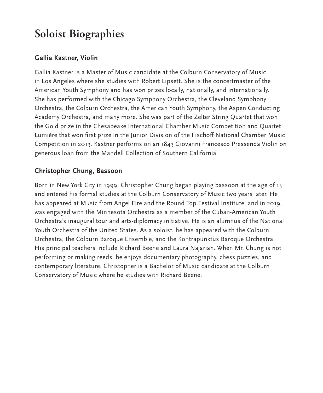# **Soloist Biographies**

### **Gallia Kastner, Violin**

Gallia Kastner is a Master of Music candidate at the Colburn Conservatory of Music in Los Angeles where she studies with Robert Lipsett. She is the concertmaster of the American Youth Symphony and has won prizes locally, nationally, and internationally. She has performed with the Chicago Symphony Orchestra, the Cleveland Symphony Orchestra, the Colburn Orchestra, the American Youth Symphony, the Aspen Conducting Academy Orchestra, and many more. She was part of the Zelter String Quartet that won the Gold prize in the Chesapeake International Chamber Music Competition and Quartet Lumiére that won first prize in the Junior Division of the Fischoff National Chamber Music Competition in 2013. Kastner performs on an 1843 Giovanni Francesco Pressenda Violin on generous loan from the Mandell Collection of Southern California.

### **Christopher Chung, Bassoon**

Born in New York City in 1999, Christopher Chung began playing bassoon at the age of 15 and entered his formal studies at the Colburn Conservatory of Music two years later. He has appeared at Music from Angel Fire and the Round Top Festival Institute, and in 2019, was engaged with the Minnesota Orchestra as a member of the Cuban-American Youth Orchestra's inaugural tour and arts-diplomacy initiative. He is an alumnus of the National Youth Orchestra of the United States. As a soloist, he has appeared with the Colburn Orchestra, the Colburn Baroque Ensemble, and the Kontrapunktus Baroque Orchestra. His principal teachers include Richard Beene and Laura Najarian. When Mr. Chung is not performing or making reeds, he enjoys documentary photography, chess puzzles, and contemporary literature. Christopher is a Bachelor of Music candidate at the Colburn Conservatory of Music where he studies with Richard Beene.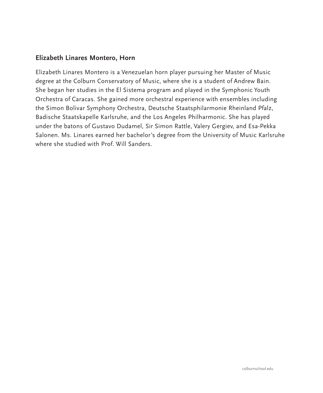### **Elizabeth Linares Montero, Horn**

Elizabeth Linares Montero is a Venezuelan horn player pursuing her Master of Music degree at the Colburn Conservatory of Music, where she is a student of Andrew Bain. She began her studies in the El Sistema program and played in the Symphonic Youth Orchestra of Caracas. She gained more orchestral experience with ensembles including the Simon Bolivar Symphony Orchestra, Deutsche Staatsphilarmonie Rheinland Pfalz, Badische Staatskapelle Karlsruhe, and the Los Angeles Philharmonic. She has played under the batons of Gustavo Dudamel, Sir Simon Rattle, Valery Gergiev, and Esa-Pekka Salonen. Ms. Linares earned her bachelor's degree from the University of Music Karlsruhe where she studied with Prof. Will Sanders.